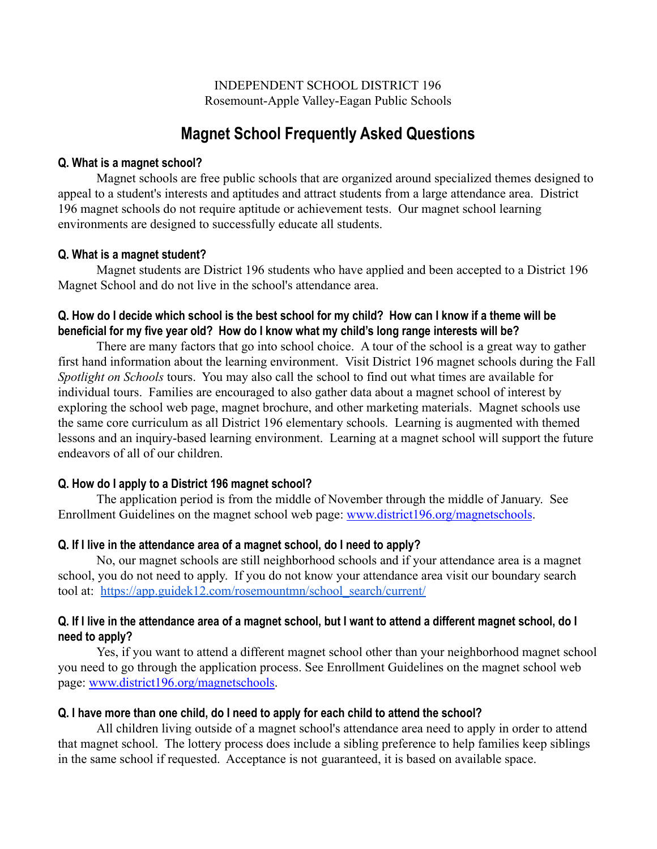INDEPENDENT SCHOOL DISTRICT 196 Rosemount-Apple Valley-Eagan Public Schools

# **Magnet School Frequently Asked Questions**

#### **Q. What is a magnet school?**

Magnet schools are free public schools that are organized around specialized themes designed to appeal to a student's interests and aptitudes and attract students from a large attendance area. District 196 magnet schools do not require aptitude or achievement tests. Our magnet school learning environments are designed to successfully educate all students.

#### **Q. What is a magnet student?**

Magnet students are District 196 students who have applied and been accepted to a District 196 Magnet School and do not live in the school's attendance area.

## **Q. How do I decide which school is the best school for my child? How can I know if a theme will be beneficial for my five year old? How do I know what my child's long range interests will be?**

There are many factors that go into school choice. A tour of the school is a great way to gather first hand information about the learning environment. Visit District 196 magnet schools during the Fall *Spotlight on Schools* tours. You may also call the school to find out what times are available for individual tours. Families are encouraged to also gather data about a magnet school of interest by exploring the school web page, magnet brochure, and other marketing materials. Magnet schools use the same core curriculum as all District 196 elementary schools. Learning is augmented with themed lessons and an inquiry-based learning environment. Learning at a magnet school will support the future endeavors of all of our children.

#### **Q. How do I apply to a District 196 magnet school?**

The application period is from the middle of November through the middle of January. See Enrollment Guidelines on the magnet school web page: [www.district196.org/magnetschools](http://www.district196.org/magnetschools).

#### **Q. If I live in the attendance area of a magnet school, do I need to apply?**

No, our magnet schools are still neighborhood schools and if your attendance area is a magnet school, you do not need to apply. If you do not know your attendance area visit our boundary search tool at: [https://app.guidek12.com/rosemountmn/school\\_search/current/](https://app.guidek12.com/rosemountmn/school_search/current/)

## **Q. If I live in the attendance area of a magnet school, but I want to attend a different magnet school, do I need to apply?**

Yes, if you want to attend a different magnet school other than your neighborhood magnet school you need to go through the application process. See Enrollment Guidelines on the magnet school web page: [www.district196.org/magnetschools.](http://www.district196.org/magnetschools)

#### **Q. I have more than one child, do I need to apply for each child to attend the school?**

All children living outside of a magnet school's attendance area need to apply in order to attend that magnet school. The lottery process does include a sibling preference to help families keep siblings in the same school if requested. Acceptance is not guaranteed, it is based on available space.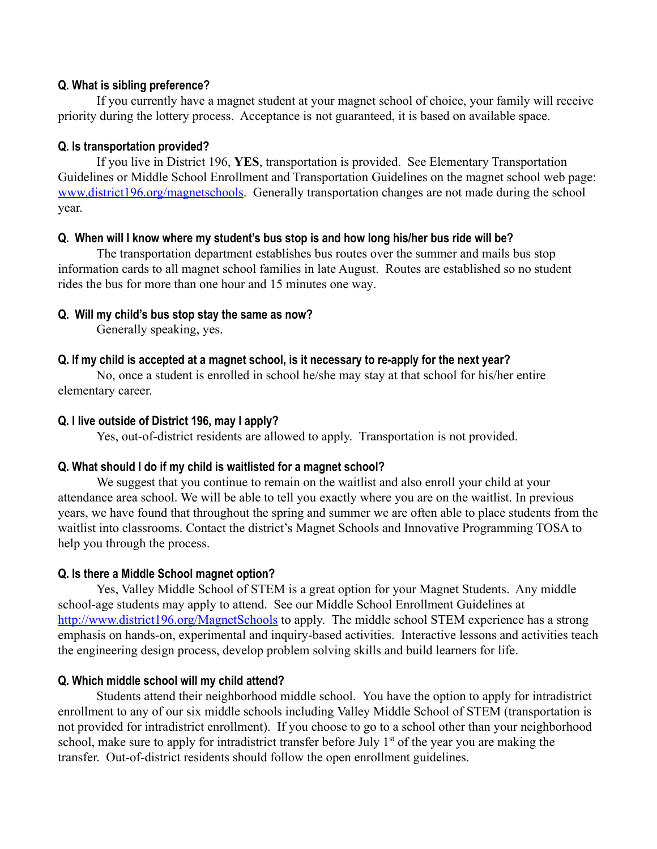#### **Q. What is sibling preference?**

If you currently have a magnet student at your magnet school of choice, your family will receive priority during the lottery process. Acceptance is not guaranteed, it is based on available space.

## **Q. Is transportation provided?**

If you live in District 196, **YES**, transportation is provided. See Elementary Transportation Guidelines or Middle School Enrollment and Transportation Guidelines on the magnet school web page: [www.district196.org/magnetschools.](http://www.district196.org/magnetschools) Generally transportation changes are not made during the school year.

## **Q. When will I know where my student's bus stop is and how long his/her bus ride will be?**

The transportation department establishes bus routes over the summer and mails bus stop information cards to all magnet school families in late August. Routes are established so no student rides the bus for more than one hour and 15 minutes one way.

# **Q. Will my child's bus stop stay the same as now?**

Generally speaking, yes.

# **Q. If my child is accepted at a magnet school, is it necessary to re-apply for the next year?**

No, once a student is enrolled in school he/she may stay at that school for his/her entire elementary career.

## **Q. I live outside of District 196, may I apply?**

Yes, out-of-district residents are allowed to apply. Transportation is not provided.

## **Q. What should I do if my child is waitlisted for a magnet school?**

We suggest that you continue to remain on the waitlist and also enroll your child at your attendance area school. We will be able to tell you exactly where you are on the waitlist. In previous years, we have found that throughout the spring and summer we are often able to place students from the waitlist into classrooms. Contact the district's Magnet Schools and Innovative Programming TOSA to help you through the process.

# **Q. Is there a Middle School magnet option?**

Yes, Valley Middle School of STEM is a great option for your Magnet Students. Any middle school-age students may apply to attend. See our Middle School Enrollment Guidelines at <http://www.district196.org/MagnetSchools> to apply. The middle school STEM experience has a strong emphasis on hands-on, experimental and inquiry-based activities. Interactive lessons and activities teach the engineering design process, develop problem solving skills and build learners for life.

# **Q. Which middle school will my child attend?**

Students attend their neighborhood middle school. You have the option to apply for intradistrict enrollment to any of our six middle schools including Valley Middle School of STEM (transportation is not provided for intradistrict enrollment). If you choose to go to a school other than your neighborhood school, make sure to apply for intradistrict transfer before July  $1<sup>st</sup>$  of the year you are making the transfer. Out-of-district residents should follow the open enrollment guidelines.